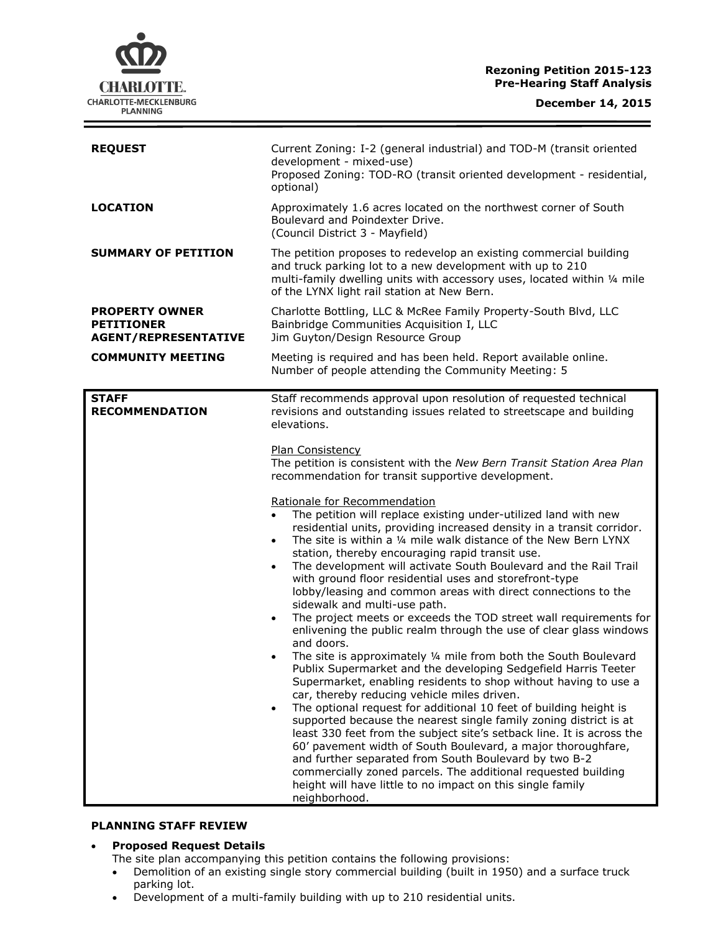## **Rezoning Petition 2015-123 Pre-Hearing Staff Analysis**

| <b>REQUEST</b>                                                            | Current Zoning: I-2 (general industrial) and TOD-M (transit oriented<br>development - mixed-use)<br>Proposed Zoning: TOD-RO (transit oriented development - residential,<br>optional)                                                                                                                                                                                                                                                                                                                                                                                                                                                                                                                                                                                                                                                                                                                                                                                                                                                                                                                                                                                                                                                                                                                                                                                                                                                                                                                                                                                                                                                                                                                                                                                                                                              |
|---------------------------------------------------------------------------|------------------------------------------------------------------------------------------------------------------------------------------------------------------------------------------------------------------------------------------------------------------------------------------------------------------------------------------------------------------------------------------------------------------------------------------------------------------------------------------------------------------------------------------------------------------------------------------------------------------------------------------------------------------------------------------------------------------------------------------------------------------------------------------------------------------------------------------------------------------------------------------------------------------------------------------------------------------------------------------------------------------------------------------------------------------------------------------------------------------------------------------------------------------------------------------------------------------------------------------------------------------------------------------------------------------------------------------------------------------------------------------------------------------------------------------------------------------------------------------------------------------------------------------------------------------------------------------------------------------------------------------------------------------------------------------------------------------------------------------------------------------------------------------------------------------------------------|
| <b>LOCATION</b>                                                           | Approximately 1.6 acres located on the northwest corner of South<br>Boulevard and Poindexter Drive.<br>(Council District 3 - Mayfield)                                                                                                                                                                                                                                                                                                                                                                                                                                                                                                                                                                                                                                                                                                                                                                                                                                                                                                                                                                                                                                                                                                                                                                                                                                                                                                                                                                                                                                                                                                                                                                                                                                                                                             |
| <b>SUMMARY OF PETITION</b>                                                | The petition proposes to redevelop an existing commercial building<br>and truck parking lot to a new development with up to 210<br>multi-family dwelling units with accessory uses, located within 1/4 mile<br>of the LYNX light rail station at New Bern.                                                                                                                                                                                                                                                                                                                                                                                                                                                                                                                                                                                                                                                                                                                                                                                                                                                                                                                                                                                                                                                                                                                                                                                                                                                                                                                                                                                                                                                                                                                                                                         |
| <b>PROPERTY OWNER</b><br><b>PETITIONER</b><br><b>AGENT/REPRESENTATIVE</b> | Charlotte Bottling, LLC & McRee Family Property-South Blvd, LLC<br>Bainbridge Communities Acquisition I, LLC<br>Jim Guyton/Design Resource Group                                                                                                                                                                                                                                                                                                                                                                                                                                                                                                                                                                                                                                                                                                                                                                                                                                                                                                                                                                                                                                                                                                                                                                                                                                                                                                                                                                                                                                                                                                                                                                                                                                                                                   |
| <b>COMMUNITY MEETING</b>                                                  | Meeting is required and has been held. Report available online.<br>Number of people attending the Community Meeting: 5                                                                                                                                                                                                                                                                                                                                                                                                                                                                                                                                                                                                                                                                                                                                                                                                                                                                                                                                                                                                                                                                                                                                                                                                                                                                                                                                                                                                                                                                                                                                                                                                                                                                                                             |
| <b>STAFF</b><br><b>RECOMMENDATION</b>                                     | Staff recommends approval upon resolution of requested technical<br>revisions and outstanding issues related to streetscape and building<br>elevations.<br><b>Plan Consistency</b><br>The petition is consistent with the New Bern Transit Station Area Plan<br>recommendation for transit supportive development.<br>Rationale for Recommendation<br>The petition will replace existing under-utilized land with new<br>$\bullet$<br>residential units, providing increased density in a transit corridor.<br>The site is within a 1/4 mile walk distance of the New Bern LYNX<br>$\bullet$<br>station, thereby encouraging rapid transit use.<br>The development will activate South Boulevard and the Rail Trail<br>$\bullet$<br>with ground floor residential uses and storefront-type<br>lobby/leasing and common areas with direct connections to the<br>sidewalk and multi-use path.<br>The project meets or exceeds the TOD street wall requirements for<br>$\bullet$<br>enlivening the public realm through the use of clear glass windows<br>and doors.<br>The site is approximately 1/4 mile from both the South Boulevard<br>Publix Supermarket and the developing Sedgefield Harris Teeter<br>Supermarket, enabling residents to shop without having to use a<br>car, thereby reducing vehicle miles driven.<br>The optional request for additional 10 feet of building height is<br>$\bullet$<br>supported because the nearest single family zoning district is at<br>least 330 feet from the subject site's setback line. It is across the<br>60' pavement width of South Boulevard, a major thoroughfare,<br>and further separated from South Boulevard by two B-2<br>commercially zoned parcels. The additional requested building<br>height will have little to no impact on this single family<br>neighborhood. |

## **PLANNING STAFF REVIEW**

### **Proposed Request Details**

The site plan accompanying this petition contains the following provisions:

- Demolition of an existing single story commercial building (built in 1950) and a surface truck parking lot.
- Development of a multi-family building with up to 210 residential units.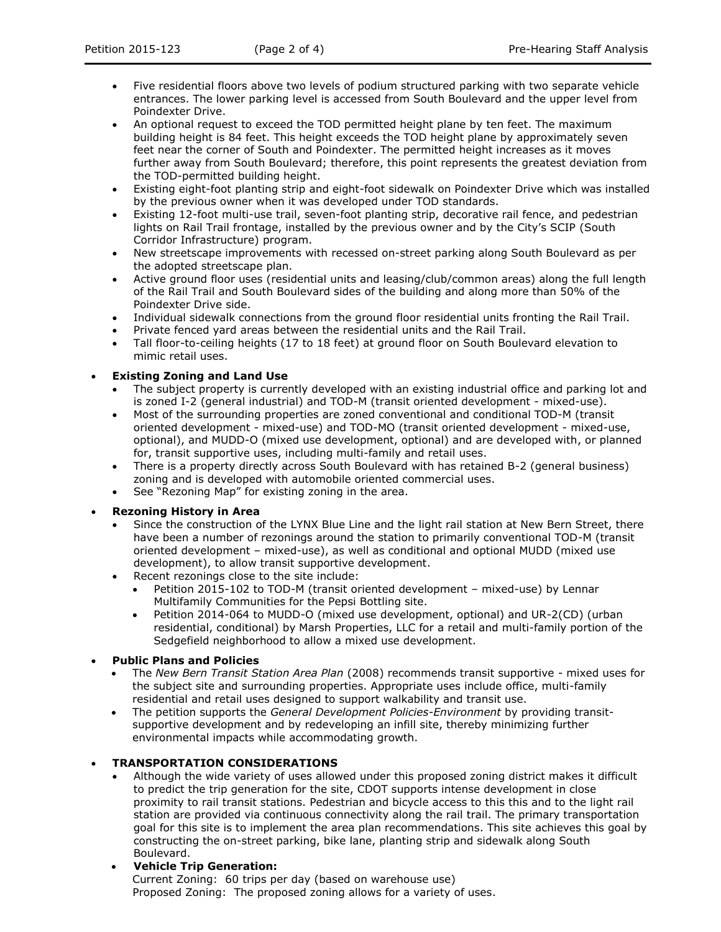- Five residential floors above two levels of podium structured parking with two separate vehicle entrances. The lower parking level is accessed from South Boulevard and the upper level from Poindexter Drive.
- An optional request to exceed the TOD permitted height plane by ten feet. The maximum building height is 84 feet. This height exceeds the TOD height plane by approximately seven feet near the corner of South and Poindexter. The permitted height increases as it moves further away from South Boulevard; therefore, this point represents the greatest deviation from the TOD-permitted building height.
- Existing eight-foot planting strip and eight-foot sidewalk on Poindexter Drive which was installed by the previous owner when it was developed under TOD standards.
- Existing 12-foot multi-use trail, seven-foot planting strip, decorative rail fence, and pedestrian lights on Rail Trail frontage, installed by the previous owner and by the City's SCIP (South Corridor Infrastructure) program.
- New streetscape improvements with recessed on-street parking along South Boulevard as per the adopted streetscape plan.
- Active ground floor uses (residential units and leasing/club/common areas) along the full length of the Rail Trail and South Boulevard sides of the building and along more than 50% of the Poindexter Drive side.
- Individual sidewalk connections from the ground floor residential units fronting the Rail Trail.
- Private fenced yard areas between the residential units and the Rail Trail.
- Tall floor-to-ceiling heights (17 to 18 feet) at ground floor on South Boulevard elevation to mimic retail uses.

# **Existing Zoning and Land Use**

- The subject property is currently developed with an existing industrial office and parking lot and is zoned I-2 (general industrial) and TOD-M (transit oriented development - mixed-use).
- Most of the surrounding properties are zoned conventional and conditional TOD-M (transit oriented development - mixed-use) and TOD-MO (transit oriented development - mixed-use, optional), and MUDD-O (mixed use development, optional) and are developed with, or planned for, transit supportive uses, including multi-family and retail uses.
- There is a property directly across South Boulevard with has retained B-2 (general business) zoning and is developed with automobile oriented commercial uses.
- See "Rezoning Map" for existing zoning in the area.

### **Rezoning History in Area**

- Since the construction of the LYNX Blue Line and the light rail station at New Bern Street, there have been a number of rezonings around the station to primarily conventional TOD-M (transit oriented development – mixed-use), as well as conditional and optional MUDD (mixed use development), to allow transit supportive development.
- Recent rezonings close to the site include:
	- Petition 2015-102 to TOD-M (transit oriented development mixed-use) by Lennar Multifamily Communities for the Pepsi Bottling site.
	- Petition 2014-064 to MUDD-O (mixed use development, optional) and UR-2(CD) (urban residential, conditional) by Marsh Properties, LLC for a retail and multi-family portion of the Sedgefield neighborhood to allow a mixed use development.

### **Public Plans and Policies**

- The *New Bern Transit Station Area Plan* (2008) recommends transit supportive mixed uses for the subject site and surrounding properties. Appropriate uses include office, multi-family residential and retail uses designed to support walkability and transit use.
- The petition supports the *General Development Policies-Environment* by providing transitsupportive development and by redeveloping an infill site, thereby minimizing further environmental impacts while accommodating growth.

# **TRANSPORTATION CONSIDERATIONS**

 Although the wide variety of uses allowed under this proposed zoning district makes it difficult to predict the trip generation for the site, CDOT supports intense development in close proximity to rail transit stations. Pedestrian and bicycle access to this this and to the light rail station are provided via continuous connectivity along the rail trail. The primary transportation goal for this site is to implement the area plan recommendations. This site achieves this goal by constructing the on-street parking, bike lane, planting strip and sidewalk along South Boulevard.

# **Vehicle Trip Generation:**

Current Zoning: 60 trips per day (based on warehouse use) Proposed Zoning: The proposed zoning allows for a variety of uses.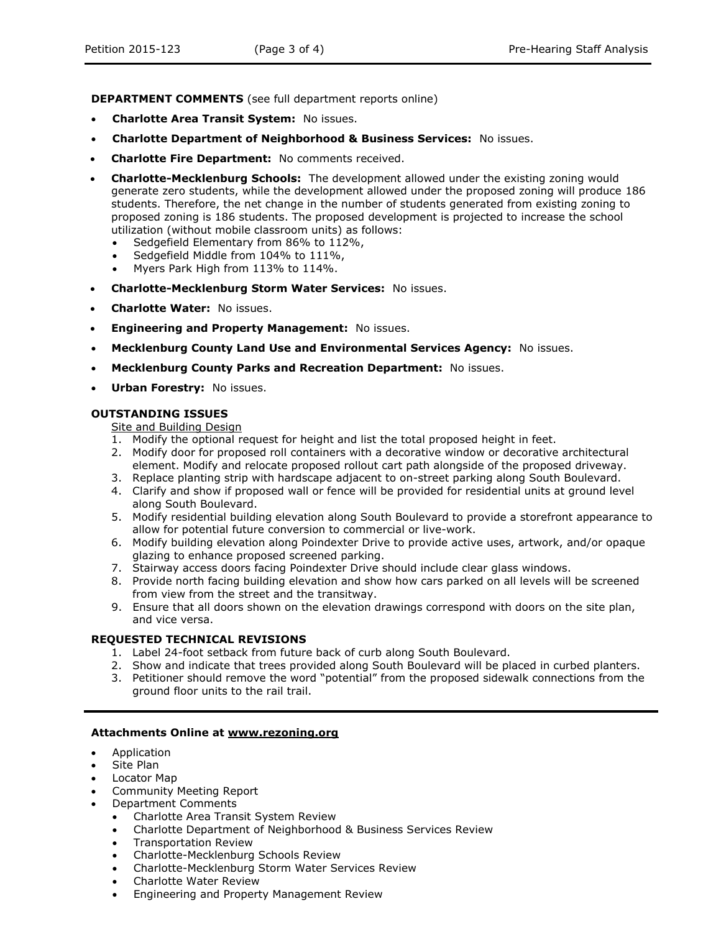**DEPARTMENT COMMENTS** (see full department reports online)

- **Charlotte Area Transit System:** No issues.
- **Charlotte Department of Neighborhood & Business Services:** No issues.
- **Charlotte Fire Department:** No comments received.
- **Charlotte-Mecklenburg Schools:** The development allowed under the existing zoning would generate zero students, while the development allowed under the proposed zoning will produce 186 students. Therefore, the net change in the number of students generated from existing zoning to proposed zoning is 186 students. The proposed development is projected to increase the school utilization (without mobile classroom units) as follows:
	- Sedgefield Elementary from 86% to 112%,
	- Sedgefield Middle from 104% to 111%,
	- Myers Park High from 113% to 114%.
- **Charlotte-Mecklenburg Storm Water Services:** No issues.
- **Charlotte Water:** No issues.
- **Engineering and Property Management:** No issues.
- **Mecklenburg County Land Use and Environmental Services Agency:** No issues.
- **Mecklenburg County Parks and Recreation Department:** No issues.
- **Urban Forestry:** No issues.

#### **OUTSTANDING ISSUES**

## Site and Building Design

- 1. Modify the optional request for height and list the total proposed height in feet.
- 2. Modify door for proposed roll containers with a decorative window or decorative architectural element. Modify and relocate proposed rollout cart path alongside of the proposed driveway.
- 3. Replace planting strip with hardscape adjacent to on-street parking along South Boulevard.
- 4. Clarify and show if proposed wall or fence will be provided for residential units at ground level along South Boulevard.
- 5. Modify residential building elevation along South Boulevard to provide a storefront appearance to allow for potential future conversion to commercial or live-work.
- 6. Modify building elevation along Poindexter Drive to provide active uses, artwork, and/or opaque glazing to enhance proposed screened parking.
- 7. Stairway access doors facing Poindexter Drive should include clear glass windows.
- 8. Provide north facing building elevation and show how cars parked on all levels will be screened from view from the street and the transitway.
- 9. Ensure that all doors shown on the elevation drawings correspond with doors on the site plan, and vice versa.

#### **REQUESTED TECHNICAL REVISIONS**

- 1. Label 24-foot setback from future back of curb along South Boulevard.
- 2. Show and indicate that trees provided along South Boulevard will be placed in curbed planters.
- 3. Petitioner should remove the word "potential" from the proposed sidewalk connections from the ground floor units to the rail trail.

#### **Attachments Online at www.rezoning.org**

- Application
- Site Plan
- Locator Map
- Community Meeting Report
- Department Comments
	- Charlotte Area Transit System Review
	- Charlotte Department of Neighborhood & Business Services Review
	- Transportation Review
	- Charlotte-Mecklenburg Schools Review
	- Charlotte-Mecklenburg Storm Water Services Review
	- Charlotte Water Review
	- Engineering and Property Management Review